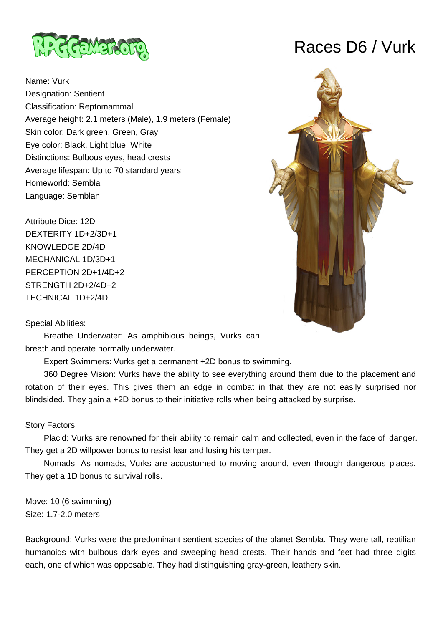

Name: Vurk Designation: Sentient Classification: Reptomammal Average height: 2.1 meters (Male), 1.9 meters (Female) Skin color: Dark green, Green, Gray Eye color: Black, Light blue, White Distinctions: Bulbous eyes, head crests Average lifespan: Up to 70 standard years Homeworld: Sembla Language: Semblan

Attribute Dice: 12D DEXTERITY 1D+2/3D+1 KNOWLEDGE 2D/4D MECHANICAL 1D/3D+1 PERCEPTION 2D+1/4D+2 STRENGTH 2D+2/4D+2 TECHNICAL 1D+2/4D

# Races D6 / Vurk



## Special Abilities:

 Breathe Underwater: As amphibious beings, Vurks can breath and operate normally underwater.

Expert Swimmers: Vurks get a permanent +2D bonus to swimming.

 360 Degree Vision: Vurks have the ability to see everything around them due to the placement and rotation of their eyes. This gives them an edge in combat in that they are not easily surprised nor blindsided. They gain a +2D bonus to their initiative rolls when being attacked by surprise.

# Story Factors:

 Placid: Vurks are renowned for their ability to remain calm and collected, even in the face of danger. They get a 2D willpower bonus to resist fear and losing his temper.

 Nomads: As nomads, Vurks are accustomed to moving around, even through dangerous places. They get a 1D bonus to survival rolls.

Move: 10 (6 swimming) Size: 1.7-2.0 meters

Background: Vurks were the predominant sentient species of the planet Sembla. They were tall, reptilian humanoids with bulbous dark eyes and sweeping head crests. Their hands and feet had three digits each, one of which was opposable. They had distinguishing gray-green, leathery skin.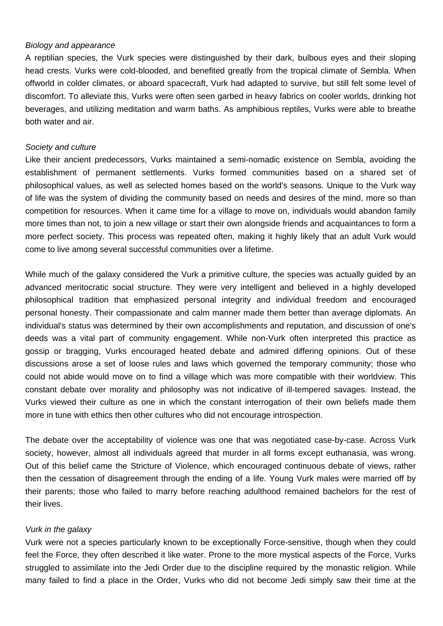#### Biology and appearance

A reptilian species, the Vurk species were distinguished by their dark, bulbous eyes and their sloping head crests. Vurks were cold-blooded, and benefited greatly from the tropical climate of Sembla. When offworld in colder climates, or aboard spacecraft, Vurk had adapted to survive, but still felt some level of discomfort. To alleviate this, Vurks were often seen garbed in heavy fabrics on cooler worlds, drinking hot beverages, and utilizing meditation and warm baths. As amphibious reptiles, Vurks were able to breathe both water and air.

#### Society and culture

Like their ancient predecessors, Vurks maintained a semi-nomadic existence on Sembla, avoiding the establishment of permanent settlements. Vurks formed communities based on a shared set of philosophical values, as well as selected homes based on the world's seasons. Unique to the Vurk way of life was the system of dividing the community based on needs and desires of the mind, more so than competition for resources. When it came time for a village to move on, individuals would abandon family more times than not, to join a new village or start their own alongside friends and acquaintances to form a more perfect society. This process was repeated often, making it highly likely that an adult Vurk would come to live among several successful communities over a lifetime.

While much of the galaxy considered the Vurk a primitive culture, the species was actually guided by an advanced meritocratic social structure. They were very intelligent and believed in a highly developed philosophical tradition that emphasized personal integrity and individual freedom and encouraged personal honesty. Their compassionate and calm manner made them better than average diplomats. An individual's status was determined by their own accomplishments and reputation, and discussion of one's deeds was a vital part of community engagement. While non-Vurk often interpreted this practice as gossip or bragging, Vurks encouraged heated debate and admired differing opinions. Out of these discussions arose a set of loose rules and laws which governed the temporary community; those who could not abide would move on to find a village which was more compatible with their worldview. This constant debate over morality and philosophy was not indicative of ill-tempered savages. Instead, the Vurks viewed their culture as one in which the constant interrogation of their own beliefs made them more in tune with ethics then other cultures who did not encourage introspection.

The debate over the acceptability of violence was one that was negotiated case-by-case. Across Vurk society, however, almost all individuals agreed that murder in all forms except euthanasia, was wrong. Out of this belief came the Stricture of Violence, which encouraged continuous debate of views, rather then the cessation of disagreement through the ending of a life. Young Vurk males were married off by their parents; those who failed to marry before reaching adulthood remained bachelors for the rest of their lives.

## Vurk in the galaxy

Vurk were not a species particularly known to be exceptionally Force-sensitive, though when they could feel the Force, they often described it like water. Prone to the more mystical aspects of the Force, Vurks struggled to assimilate into the Jedi Order due to the discipline required by the monastic religion. While many failed to find a place in the Order, Vurks who did not become Jedi simply saw their time at the